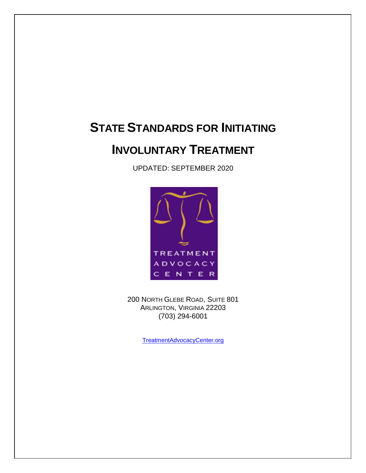# **STATE STANDARDS FOR INITIATING**

# **INVOLUNTARY TREATMENT**

UPDATED: SEPTEMBER 2020



200 NORTH GLEBE ROAD, SUITE 801 ARLINGTON, VIRGINIA 22203 (703) 294-6001

TreatmentAdvocacyCenter.org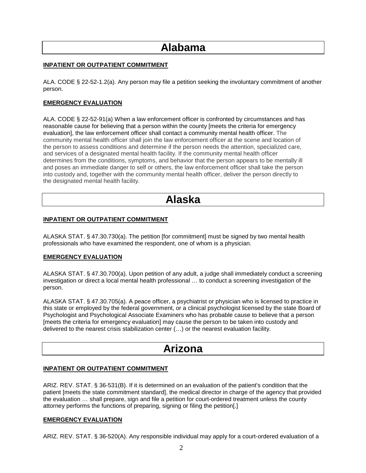# **Alabama**

### **INPATIENT OR OUTPATIENT COMMITMENT**

ALA. CODE § 22-52-1.2(a). Any person may file a petition seeking the involuntary commitment of another person.

## **EMERGENCY EVALUATION**

ALA. CODE § 22-52-91(a) When a law enforcement officer is confronted by circumstances and has reasonable cause for believing that a person within the county [meets the criteria for emergency evaluation], the law enforcement officer shall contact a community mental health officer. The community mental health officer shall join the law enforcement officer at the scene and location of the person to assess conditions and determine if the person needs the attention, specialized care, and services of a designated mental health facility. If the community mental health officer determines from the conditions, symptoms, and behavior that the person appears to be mentally ill and poses an immediate danger to self or others, the law enforcement officer shall take the person into custody and, together with the community mental health officer, deliver the person directly to the designated mental health facility.

# **Alaska**

### **INPATIENT OR OUTPATIENT COMMITMENT**

ALASKA STAT. § 47.30.730(a). The petition [for commitment] must be signed by two mental health professionals who have examined the respondent, one of whom is a physician.

### **EMERGENCY EVALUATION**

ALASKA STAT. § 47.30.700(a). Upon petition of any adult, a judge shall immediately conduct a screening investigation or direct a local mental health professional … to conduct a screening investigation of the person.

ALASKA STAT. § 47.30.705(a). A peace officer, a psychiatrist or physician who is licensed to practice in this state or employed by the federal government, or a clinical psychologist licensed by the state Board of Psychologist and Psychological Associate Examiners who has probable cause to believe that a person [meets the criteria for emergency evaluation] may cause the person to be taken into custody and delivered to the nearest crisis stabilization center (…) or the nearest evaluation facility.

# **Arizona**

### **INPATIENT OR OUTPATIENT COMMITMENT**

ARIZ. REV. STAT. § 36-531(B). If it is determined on an evaluation of the patient's condition that the patient [meets the state commitment standard], the medical director in charge of the agency that provided the evaluation … shall prepare, sign and file a petition for court-ordered treatment unless the county attorney performs the functions of preparing, signing or filing the petition[.]

### **EMERGENCY EVALUATION**

ARIZ. REV. STAT. § 36-520(A). Any responsible individual may apply for a court-ordered evaluation of a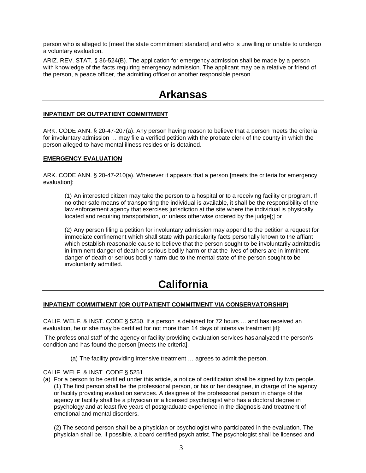person who is alleged to [meet the state commitment standard] and who is unwilling or unable to undergo a voluntary evaluation.

ARIZ. REV. STAT. § 36-524(B). The application for emergency admission shall be made by a person with knowledge of the facts requiring emergency admission. The applicant may be a relative or friend of the person, a peace officer, the admitting officer or another responsible person.

# **Arkansas**

### **INPATIENT OR OUTPATIENT COMMITMENT**

ARK. CODE ANN. § 20-47-207(a). Any person having reason to believe that a person meets the criteria for involuntary admission … may file a verified petition with the probate clerk of the county in which the person alleged to have mental illness resides or is detained.

### **EMERGENCY EVALUATION**

ARK. CODE ANN. § 20-47-210(a). Whenever it appears that a person [meets the criteria for emergency evaluation]:

(1) An interested citizen may take the person to a hospital or to a receiving facility or program. If no other safe means of transporting the individual is available, it shall be the responsibility of the law enforcement agency that exercises jurisdiction at the site where the individual is physically located and requiring transportation, or unless otherwise ordered by the judge[;] or

(2) Any person filing a petition for involuntary admission may append to the petition a request for immediate confinement which shall state with particularity facts personally known to the affiant which establish reasonable cause to believe that the person sought to be involuntarily admitted is in imminent danger of death or serious bodily harm or that the lives of others are in imminent danger of death or serious bodily harm due to the mental state of the person sought to be involuntarily admitted.

# **California**

### **INPATIENT COMMITMENT (OR OUTPATIENT COMMITMENT VIA CONSERVATORSHIP)**

CALIF. WELF. & INST. CODE § 5250. If a person is detained for 72 hours … and has received an evaluation, he or she may be certified for not more than 14 days of intensive treatment [if]:

The professional staff of the agency or facility providing evaluation services has analyzed the person's condition and has found the person [meets the criteria].

(a) The facility providing intensive treatment … agrees to admit the person.

CALIF. WELF. & INST. CODE § 5251.

(a) For a person to be certified under this article, a notice of certification shall be signed by two people. (1) The first person shall be the professional person, or his or her designee, in charge of the agency or facility providing evaluation services. A designee of the professional person in charge of the agency or facility shall be a physician or a licensed psychologist who has a doctoral degree in psychology and at least five years of postgraduate experience in the diagnosis and treatment of emotional and mental disorders.

(2) The second person shall be a physician or psychologist who participated in the evaluation. The physician shall be, if possible, a board certified psychiatrist. The psychologist shall be licensed and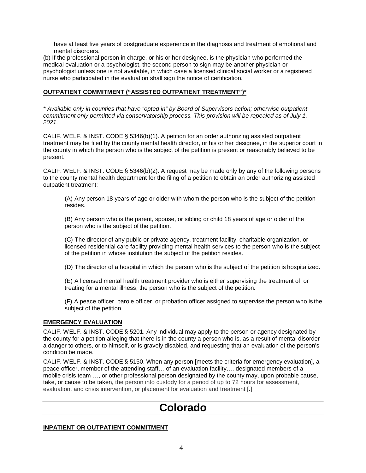have at least five years of postgraduate experience in the diagnosis and treatment of emotional and mental disorders.

(b) If the professional person in charge, or his or her designee, is the physician who performed the medical evaluation or a psychologist, the second person to sign may be another physician or psychologist unless one is not available, in which case a licensed clinical social worker or a registered nurse who participated in the evaluation shall sign the notice of certification.

## **OUTPATIENT COMMITMENT ("ASSISTED OUTPATIENT TREATMENT")\***

*\* Available only in counties that have "opted in" by Board of Supervisors action; otherwise outpatient commitment only permitted via conservatorship process. This provision will be repealed as of July 1, 2021.*

CALIF. WELF. & INST. CODE § 5346(b)(1). A petition for an order authorizing assisted outpatient treatment may be filed by the county mental health director, or his or her designee, in the superior court in the county in which the person who is the subject of the petition is present or reasonably believed to be present.

CALIF. WELF. & INST. CODE § 5346(b)(2). A request may be made only by any of the following persons to the county mental health department for the filing of a petition to obtain an order authorizing assisted outpatient treatment:

(A) Any person 18 years of age or older with whom the person who is the subject of the petition resides.

(B) Any person who is the parent, spouse, or sibling or child 18 years of age or older of the person who is the subject of the petition.

(C) The director of any public or private agency, treatment facility, charitable organization, or licensed residential care facility providing mental health services to the person who is the subject of the petition in whose institution the subject of the petition resides.

(D) The director of a hospital in which the person who is the subject of the petition is hospitalized.

(E) A licensed mental health treatment provider who is either supervising the treatment of, or treating for a mental illness, the person who is the subject of the petition.

(F) A peace officer, parole officer, or probation officer assigned to supervise the person who is the subject of the petition.

### **EMERGENCY EVALUATION**

CALIF. WELF. & INST. CODE § 5201. Any individual may apply to the person or agency designated by the county for a petition alleging that there is in the county a person who is, as a result of mental disorder a danger to others, or to himself, or is gravely disabled, and requesting that an evaluation of the person's condition be made.

CALIF. WELF. & INST. CODE § 5150. When any person [meets the criteria for emergency evaluation], a peace officer, member of the attending staff… of an evaluation facility…, designated members of a mobile crisis team …, or other professional person designated by the county may, upon probable cause, take, or cause to be taken, the person into custody for a period of up to 72 hours for assessment, evaluation, and crisis intervention, or placement for evaluation and treatment [.]

# **Colorado**

### **INPATIENT OR OUTPATIENT COMMITMENT**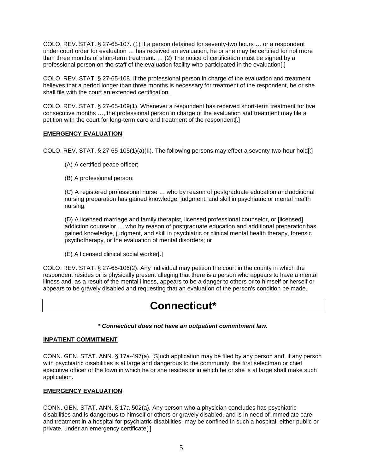COLO. REV. STAT. § 27-65-107. (1) If a person detained for seventy-two hours … or a respondent under court order for evaluation … has received an evaluation, he or she may be certified for not more than three months of short-term treatment. … (2) The notice of certification must be signed by a professional person on the staff of the evaluation facility who participated in the evaluation[.]

COLO. REV. STAT. § 27-65-108. If the professional person in charge of the evaluation and treatment believes that a period longer than three months is necessary for treatment of the respondent, he or she shall file with the court an extended certification.

COLO. REV. STAT. § 27-65-109(1). Whenever a respondent has received short-term treatment for five consecutive months …, the professional person in charge of the evaluation and treatment may file a petition with the court for long-term care and treatment of the respondent[.]

# **EMERGENCY EVALUATION**

COLO. REV. STAT. § 27-65-105(1)(a)(II). The following persons may effect a seventy-two-hour hold[:]

- (A) A certified peace officer;
- (B) A professional person;

(C) A registered professional nurse … who by reason of postgraduate education and additional nursing preparation has gained knowledge, judgment, and skill in psychiatric or mental health nursing;

(D) A licensed marriage and family therapist, licensed professional counselor, or [licensed] addiction counselor … who by reason of postgraduate education and additional preparation has gained knowledge, judgment, and skill in psychiatric or clinical mental health therapy, forensic psychotherapy, or the evaluation of mental disorders; or

(E) A licensed clinical social worker[.]

COLO. REV. STAT. § 27-65-106(2). Any individual may petition the court in the county in which the respondent resides or is physically present alleging that there is a person who appears to have a mental illness and, as a result of the mental illness, appears to be a danger to others or to himself or herself or appears to be gravely disabled and requesting that an evaluation of the person's condition be made.

# **Connecticut\***

*\* Connecticut does not have an outpatient commitment law.*

# **INPATIENT COMMITMENT**

CONN. GEN. STAT. ANN. § 17a-497(a). [S]uch application may be filed by any person and, if any person with psychiatric disabilities is at large and dangerous to the community, the first selectman or chief executive officer of the town in which he or she resides or in which he or she is at large shall make such application.

# **EMERGENCY EVALUATION**

CONN. GEN. STAT. ANN. § 17a-502(a). Any person who a physician concludes has psychiatric disabilities and is dangerous to himself or others or gravely disabled, and is in need of immediate care and treatment in a hospital for psychiatric disabilities, may be confined in such a hospital, either public or private, under an emergency certificate[.]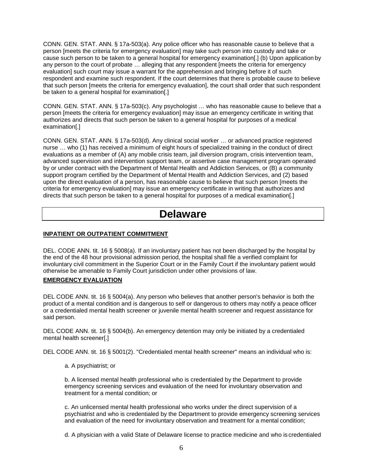CONN. GEN. STAT. ANN. § 17a-503(a). Any police officer who has reasonable cause to believe that a person [meets the criteria for emergency evaluation] may take such person into custody and take or cause such person to be taken to a general hospital for emergency examination[.] (b) Upon application by any person to the court of probate … alleging that any respondent [meets the criteria for emergency evaluation] such court may issue a warrant for the apprehension and bringing before it of such respondent and examine such respondent. If the court determines that there is probable cause to believe that such person [meets the criteria for emergency evaluation], the court shall order that such respondent be taken to a general hospital for examination[.]

CONN. GEN. STAT. ANN. § 17a-503(c). Any psychologist … who has reasonable cause to believe that a person [meets the criteria for emergency evaluation] may issue an emergency certificate in writing that authorizes and directs that such person be taken to a general hospital for purposes of a medical examination[.]

CONN. GEN. STAT. ANN. § 17a-503(d). Any clinical social worker … or advanced practice registered nurse … who (1) has received a minimum of eight hours of specialized training in the conduct of direct evaluations as a member of (A) any mobile crisis team, jail diversion program, crisis intervention team, advanced supervision and intervention support team, or assertive case management program operated by or under contract with the Department of Mental Health and Addiction Services, or (B) a community support program certified by the Department of Mental Health and Addiction Services, and (2) based upon the direct evaluation of a person, has reasonable cause to believe that such person [meets the criteria for emergency evaluation] may issue an emergency certificate in writing that authorizes and directs that such person be taken to a general hospital for purposes of a medical examination[.]

# **Delaware**

# **INPATIENT OR OUTPATIENT COMMITMENT**

DEL. CODE ANN. tit. 16 § 5008(a). If an involuntary patient has not been discharged by the hospital by the end of the 48 hour provisional admission period, the hospital shall file a verified complaint for involuntary civil commitment in the Superior Court or in the Family Court if the involuntary patient would otherwise be amenable to Family Court jurisdiction under other provisions of law.

# **EMERGENCY EVALUATION**

DEL CODE ANN. tit. 16 § 5004(a). Any person who believes that another person's behavior is both the product of a mental condition and is dangerous to self or dangerous to others may notify a peace officer or a credentialed mental health screener or juvenile mental health screener and request assistance for said person.

DEL CODE ANN. tit. 16 § 5004(b). An emergency detention may only be initiated by a credentialed mental health screener[.]

DEL CODE ANN. tit. 16 § 5001(2). "Credentialed mental health screener" means an individual who is:

a. A psychiatrist; or

b. A licensed mental health professional who is credentialed by the Department to provide emergency screening services and evaluation of the need for involuntary observation and treatment for a mental condition; or

c. An unlicensed mental health professional who works under the direct supervision of a psychiatrist and who is credentialed by the Department to provide emergency screening services and evaluation of the need for involuntary observation and treatment for a mental condition;

d. A physician with a valid State of Delaware license to practice medicine and who is credentialed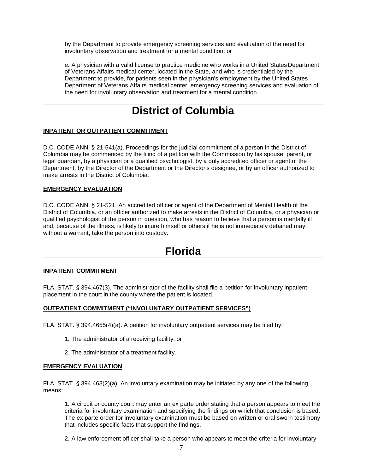by the Department to provide emergency screening services and evaluation of the need for involuntary observation and treatment for a mental condition; or

e. A physician with a valid license to practice medicine who works in a United States Department of Veterans Affairs medical center, located in the State, and who is credentialed by the Department to provide, for patients seen in the physician's employment by the United States Department of Veterans Affairs medical center, emergency screening services and evaluation of the need for involuntary observation and treatment for a mental condition.

# **District of Columbia**

### **INPATIENT OR OUTPATIENT COMMITMENT**

D.C. CODE ANN. § 21-541(a). Proceedings for the judicial commitment of a person in the District of Columbia may be commenced by the filing of a petition with the Commission by his spouse, parent, or legal guardian, by a physician or a qualified psychologist, by a duly accredited officer or agent of the Department, by the Director of the Department or the Director's designee, or by an officer authorized to make arrests in the District of Columbia.

### **EMERGENCY EVALUATION**

D.C. CODE ANN. § 21-521. An accredited officer or agent of the Department of Mental Health of the District of Columbia, or an officer authorized to make arrests in the District of Columbia, or a physician or qualified psychologist of the person in question, who has reason to believe that a person is mentally ill and, because of the illness, is likely to injure himself or others if he is not immediately detained may, without a warrant, take the person into custody.

# **Florida**

### **INPATIENT COMMITMENT**

FLA. STAT. § 394.467(3). The administrator of the facility shall file a petition for involuntary inpatient placement in the court in the county where the patient is located.

### **OUTPATIENT COMMITMENT ("INVOLUNTARY OUTPATIENT SERVICES")**

FLA. STAT. § 394.4655(4)(a). A petition for involuntary outpatient services may be filed by:

- 1. The administrator of a receiving facility; or
- 2. The administrator of a treatment facility.

### **EMERGENCY EVALUATION**

FLA. STAT. § 394.463(2)(a). An involuntary examination may be initiated by any one of the following means:

1. A circuit or county court may enter an ex parte order stating that a person appears to meet the criteria for involuntary examination and specifying the findings on which that conclusion is based. The ex parte order for involuntary examination must be based on written or oral sworn testimony that includes specific facts that support the findings.

2. A law enforcement officer shall take a person who appears to meet the criteria for involuntary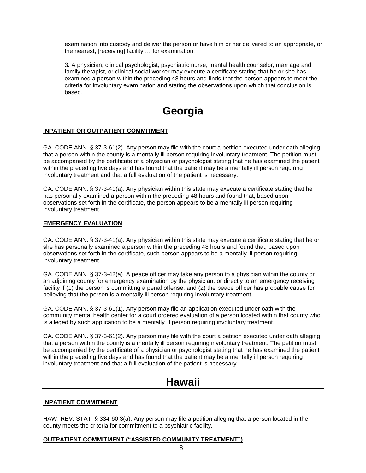examination into custody and deliver the person or have him or her delivered to an appropriate, or the nearest, [receiving] facility … for examination.

3. A physician, clinical psychologist, psychiatric nurse, mental health counselor, marriage and family therapist, or clinical social worker may execute a certificate stating that he or she has examined a person within the preceding 48 hours and finds that the person appears to meet the criteria for involuntary examination and stating the observations upon which that conclusion is based.

# **Georgia**

### **INPATIENT OR OUTPATIENT COMMITMENT**

GA. CODE ANN. § 37-3-61(2). Any person may file with the court a petition executed under oath alleging that a person within the county is a mentally ill person requiring involuntary treatment. The petition must be accompanied by the certificate of a physician or psychologist stating that he has examined the patient within the preceding five days and has found that the patient may be a mentally ill person requiring involuntary treatment and that a full evaluation of the patient is necessary.

GA. CODE ANN. § 37-3-41(a). Any physician within this state may execute a certificate stating that he has personally examined a person within the preceding 48 hours and found that, based upon observations set forth in the certificate, the person appears to be a mentally ill person requiring involuntary treatment.

### **EMERGENCY EVALUATION**

GA. CODE ANN. § 37-3-41(a). Any physician within this state may execute a certificate stating that he or she has personally examined a person within the preceding 48 hours and found that, based upon observations set forth in the certificate, such person appears to be a mentally ill person requiring involuntary treatment.

GA. CODE ANN. § 37-3-42(a). A peace officer may take any person to a physician within the county or an adjoining county for emergency examination by the physician, or directly to an emergency receiving facility if (1) the person is committing a penal offense, and (2) the peace officer has probable cause for believing that the person is a mentally ill person requiring involuntary treatment.

GA. CODE ANN. § 37-3-61(1). Any person may file an application executed under oath with the community mental health center for a court ordered evaluation of a person located within that county who is alleged by such application to be a mentally ill person requiring involuntary treatment.

GA. CODE ANN. § 37-3-61(2). Any person may file with the court a petition executed under oath alleging that a person within the county is a mentally ill person requiring involuntary treatment. The petition must be accompanied by the certificate of a physician or psychologist stating that he has examined the patient within the preceding five days and has found that the patient may be a mentally ill person requiring involuntary treatment and that a full evaluation of the patient is necessary.

# **Hawaii**

### **INPATIENT COMMITMENT**

HAW. REV. STAT. § 334-60.3(a). Any person may file a petition alleging that a person located in the county meets the criteria for commitment to a psychiatric facility.

### **OUTPATIENT COMMITMENT ("ASSISTED COMMUNITY TREATMENT")**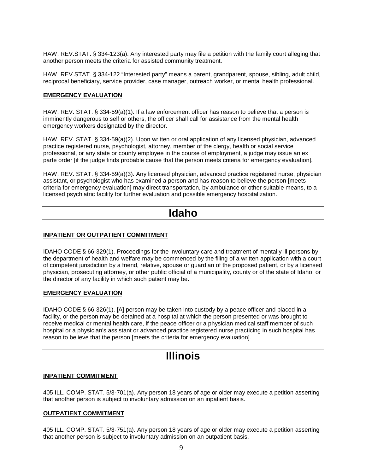HAW. REV.STAT. § 334-123(a). Any interested party may file a petition with the family court alleging that another person meets the criteria for assisted community treatment.

HAW. REV.STAT. § 334-122."Interested party" means a parent, grandparent, spouse, sibling, adult child, reciprocal beneficiary, service provider, case manager, outreach worker, or mental health professional.

### **EMERGENCY EVALUATION**

HAW. REV. STAT. § 334-59(a)(1). If a law enforcement officer has reason to believe that a person is imminently dangerous to self or others, the officer shall call for assistance from the mental health emergency workers designated by the director.

HAW. REV. STAT. § 334-59(a)(2). Upon written or oral application of any licensed physician, advanced practice registered nurse, psychologist, attorney, member of the clergy, health or social service professional, or any state or county employee in the course of employment, a judge may issue an ex parte order [if the judge finds probable cause that the person meets criteria for emergency evaluation].

HAW. REV. STAT. § 334-59(a)(3). Any licensed physician, advanced practice registered nurse, physician assistant, or psychologist who has examined a person and has reason to believe the person [meets criteria for emergency evaluation] may direct transportation, by ambulance or other suitable means, to a licensed psychiatric facility for further evaluation and possible emergency hospitalization.

# **Idaho**

### **INPATIENT OR OUTPATIENT COMMITMENT**

IDAHO CODE § 66-329(1). Proceedings for the involuntary care and treatment of mentally ill persons by the department of health and welfare may be commenced by the filing of a written application with a court of competent jurisdiction by a friend, relative, spouse or guardian of the proposed patient, or by a licensed physician, prosecuting attorney, or other public official of a municipality, county or of the state of Idaho, or the director of any facility in which such patient may be.

### **EMERGENCY EVALUATION**

IDAHO CODE § 66-326(1). [A] person may be taken into custody by a peace officer and placed in a facility, or the person may be detained at a hospital at which the person presented or was brought to receive medical or mental health care, if the peace officer or a physician medical staff member of such hospital or a physician's assistant or advanced practice registered nurse practicing in such hospital has reason to believe that the person [meets the criteria for emergency evaluation].

# **Illinois**

#### **INPATIENT COMMITMENT**

405 ILL. COMP. STAT. 5/3-701(a). Any person 18 years of age or older may execute a petition asserting that another person is subject to involuntary admission on an inpatient basis.

#### **OUTPATIENT COMMITMENT**

405 ILL. COMP. STAT. 5/3-751(a). Any person 18 years of age or older may execute a petition asserting that another person is subject to involuntary admission on an outpatient basis.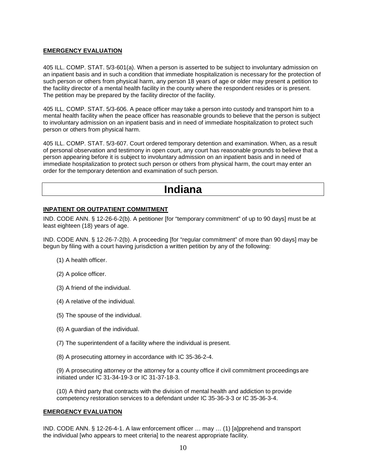# **EMERGENCY EVALUATION**

405 ILL. COMP. STAT. 5/3-601(a). When a person is asserted to be subject to involuntary admission on an inpatient basis and in such a condition that immediate hospitalization is necessary for the protection of such person or others from physical harm, any person 18 years of age or older may present a petition to the facility director of a mental health facility in the county where the respondent resides or is present. The petition may be prepared by the facility director of the facility.

405 ILL. COMP. STAT. 5/3-606. A peace officer may take a person into custody and transport him to a mental health facility when the peace officer has reasonable grounds to believe that the person is subject to involuntary admission on an inpatient basis and in need of immediate hospitalization to protect such person or others from physical harm.

405 ILL. COMP. STAT. 5/3-607. Court ordered temporary detention and examination. When, as a result of personal observation and testimony in open court, any court has reasonable grounds to believe that a person appearing before it is subject to involuntary admission on an inpatient basis and in need of immediate hospitalization to protect such person or others from physical harm, the court may enter an order for the temporary detention and examination of such person.

# **Indiana**

### **INPATIENT OR OUTPATIENT COMMITMENT**

IND. CODE ANN. § 12-26-6-2(b). A petitioner [for "temporary commitment" of up to 90 days] must be at least eighteen (18) years of age.

IND. CODE ANN. § 12-26-7-2(b). A proceeding [for "regular commitment" of more than 90 days] may be begun by filing with a court having jurisdiction a written petition by any of the following:

- (1) A health officer.
- (2) A police officer.
- (3) A friend of the individual.
- (4) A relative of the individual.
- (5) The spouse of the individual.
- (6) A guardian of the individual.
- (7) The superintendent of a facility where the individual is present.
- (8) A prosecuting attorney in accordance with IC 35-36-2-4.

(9) A prosecuting attorney or the attorney for a county office if civil commitment proceedings are initiated under IC 31-34-19-3 or IC 31-37-18-3.

(10) A third party that contracts with the division of mental health and addiction to provide competency restoration services to a defendant under IC 35-36-3-3 or IC 35-36-3-4.

### **EMERGENCY EVALUATION**

IND. CODE ANN. § 12-26-4-1. A law enforcement officer … may … (1) [a]pprehend and transport the individual [who appears to meet criteria] to the nearest appropriate facility.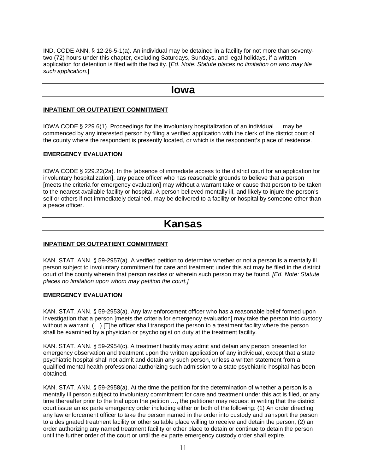IND. CODE ANN. § 12-26-5-1(a). An individual may be detained in a facility for not more than seventytwo (72) hours under this chapter, excluding Saturdays, Sundays, and legal holidays, if a written application for detention is filed with the facility. [*Ed. Note: Statute places no limitation on who may file such application.*]

# **Iowa**

## **INPATIENT OR OUTPATIENT COMMITMENT**

IOWA CODE § 229.6(1). Proceedings for the involuntary hospitalization of an individual … may be commenced by any interested person by filing a verified application with the clerk of the district court of the county where the respondent is presently located, or which is the respondent's place of residence.

# **EMERGENCY EVALUATION**

IOWA CODE § 229.22(2a). In the [absence of immediate access to the district court for an application for involuntary hospitalization], any peace officer who has reasonable grounds to believe that a person [meets the criteria for emergency evaluation] may without a warrant take or cause that person to be taken to the nearest available facility or hospital. A person believed mentally ill, and likely to injure the person's self or others if not immediately detained, may be delivered to a facility or hospital by someone other than a peace officer.

# **Kansas**

### **INPATIENT OR OUTPATIENT COMMITMENT**

KAN. STAT. ANN. § 59-2957(a). A verified petition to determine whether or not a person is a mentally ill person subject to involuntary commitment for care and treatment under this act may be filed in the district court of the county wherein that person resides or wherein such person may be found. *[Ed. Note: Statute places no limitation upon whom may petition the court.]*

### **EMERGENCY EVALUATION**

KAN. STAT. ANN. § 59-2953(a). Any law enforcement officer who has a reasonable belief formed upon investigation that a person [meets the criteria for emergency evaluation] may take the person into custody without a warrant. (…) [T]he officer shall transport the person to a treatment facility where the person shall be examined by a physician or psychologist on duty at the treatment facility.

KAN. STAT. ANN. § 59-2954(c). A treatment facility may admit and detain any person presented for emergency observation and treatment upon the written application of any individual, except that a state psychiatric hospital shall not admit and detain any such person, unless a written statement from a qualified mental health professional authorizing such admission to a state psychiatric hospital has been obtained.

KAN. STAT. ANN. § 59-2958(a). At the time the petition for the determination of whether a person is a mentally ill person subject to involuntary commitment for care and treatment under this act is filed, or any time thereafter prior to the trial upon the petition ..., the petitioner may request in writing that the district court issue an ex parte emergency order including either or both of the following: (1) An order directing any law enforcement officer to take the person named in the order into custody and transport the person to a designated treatment facility or other suitable place willing to receive and detain the person; (2) an order authorizing any named treatment facility or other place to detain or continue to detain the person until the further order of the court or until the ex parte emergency custody order shall expire.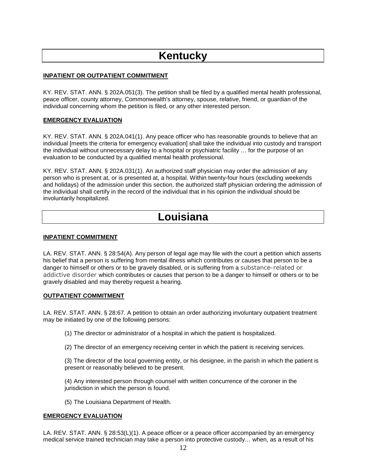# **Kentucky**

# **INPATIENT OR OUTPATIENT COMMITMENT**

KY. REV. STAT. ANN. § 202A.051(3). The petition shall be filed by a qualified mental health professional, peace officer, county attorney, Commonwealth's attorney, spouse, relative, friend, or guardian of the individual concerning whom the petition is filed, or any other interested person.

## **EMERGENCY EVALUATION**

KY. REV. STAT. ANN. § 202A.041(1). Any peace officer who has reasonable grounds to believe that an individual Imeets the criteria for emergency evaluation] shall take the individual into custody and transport the individual without unnecessary delay to a hospital or psychiatric facility … for the purpose of an evaluation to be conducted by a qualified mental health professional.

KY. REV. STAT. ANN. § 202A.031(1). An authorized staff physician may order the admission of any person who is present at, or is presented at, a hospital. Within twenty-four hours (excluding weekends and holidays) of the admission under this section, the authorized staff physician ordering the admission of the individual shall certify in the record of the individual that in his opinion the individual should be involuntarily hospitalized.

# **Louisiana**

### **INPATIENT COMMITMENT**

LA. REV. STAT. ANN. § 28:54(A). Any person of legal age may file with the court a petition which asserts his belief that a person is suffering from mental illness which contributes or causes that person to be a danger to himself or others or to be gravely disabled, or is suffering from a substance-related or addictive disorder which contributes or causes that person to be a danger to himself or others or to be gravely disabled and may thereby request a hearing.

### **OUTPATIENT COMMITMENT**

LA. REV. STAT. ANN. § 28:67. A petition to obtain an order authorizing involuntary outpatient treatment may be initiated by one of the following persons:

(1) The director or administrator of a hospital in which the patient is hospitalized.

(2) The director of an emergency receiving center in which the patient is receiving services.

(3) The director of the local governing entity, or his designee, in the parish in which the patient is present or reasonably believed to be present.

(4) Any interested person through counsel with written concurrence of the coroner in the jurisdiction in which the person is found.

(5) The Louisiana Department of Health.

### **EMERGENCY EVALUATION**

LA. REV. STAT. ANN. § 28:53(L)(1). A peace officer or a peace officer accompanied by an emergency medical service trained technician may take a person into protective custody… when, as a result of his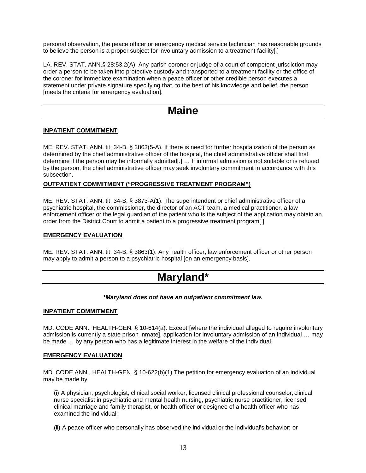personal observation, the peace officer or emergency medical service technician has reasonable grounds to believe the person is a proper subject for involuntary admission to a treatment facility[.]

LA. REV. STAT. ANN.§ 28:53.2(A). Any parish coroner or judge of a court of competent jurisdiction may order a person to be taken into protective custody and transported to a treatment facility or the office of the coroner for immediate examination when a peace officer or other credible person executes a statement under private signature specifying that, to the best of his knowledge and belief, the person [meets the criteria for emergency evaluation].

# **Maine**

### **INPATIENT COMMITMENT**

ME. REV. STAT. ANN. tit. 34-B, § 3863(5-A). If there is need for further hospitalization of the person as determined by the chief administrative officer of the hospital, the chief administrative officer shall first determine if the person may be informally admitted[.] … If informal admission is not suitable or is refused by the person, the chief administrative officer may seek involuntary commitment in accordance with this subsection.

### **OUTPATIENT COMMITMENT ("PROGRESSIVE TREATMENT PROGRAM")**

ME. REV. STAT. ANN. tit. 34-B, § 3873-A(1). The superintendent or chief administrative officer of a psychiatric hospital, the commissioner, the director of an ACT team, a medical practitioner, a law enforcement officer or the legal guardian of the patient who is the subject of the application may obtain an order from the District Court to admit a patient to a progressive treatment program[.]

### **EMERGENCY EVALUATION**

ME. REV. STAT. ANN. tit. 34-B, § 3863(1). Any health officer, law enforcement officer or other person may apply to admit a person to a psychiatric hospital [on an emergency basis].

# **Maryland\***

### *\*Maryland does not have an outpatient commitment law.*

### **INPATIENT COMMITMENT**

MD. CODE ANN., HEALTH-GEN. § 10-614(a). Except [where the individual alleged to require involuntary admission is currently a state prison inmate], application for involuntary admission of an individual … may be made … by any person who has a legitimate interest in the welfare of the individual.

### **EMERGENCY EVALUATION**

MD. CODE ANN., HEALTH-GEN. § 10-622(b)(1) The petition for emergency evaluation of an individual may be made by:

(i) A physician, psychologist, clinical social worker, licensed clinical professional counselor, clinical nurse specialist in psychiatric and mental health nursing, psychiatric nurse practitioner, licensed clinical marriage and family therapist, or health officer or designee of a health officer who has examined the individual;

(ii) A peace officer who personally has observed the individual or the individual's behavior; or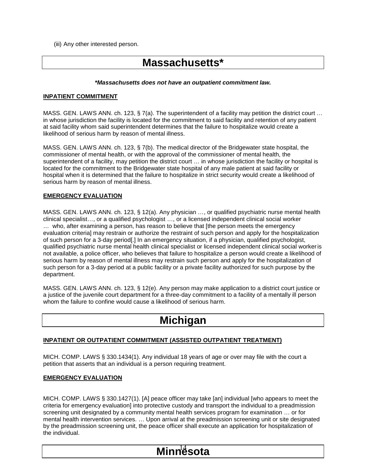(iii) Any other interested person.

# **Massachusetts\***

#### *\*Massachusetts does not have an outpatient commitment law.*

### **INPATIENT COMMITMENT**

MASS. GEN. LAWS ANN. ch. 123, § 7(a). The superintendent of a facility may petition the district court ... in whose jurisdiction the facility is located for the commitment to said facility and retention of any patient at said facility whom said superintendent determines that the failure to hospitalize would create a likelihood of serious harm by reason of mental illness.

MASS. GEN. LAWS ANN. ch. 123, § 7(b). The medical director of the Bridgewater state hospital, the commissioner of mental health, or with the approval of the commissioner of mental health, the superintendent of a facility, may petition the district court ... in whose jurisdiction the facility or hospital is located for the commitment to the Bridgewater state hospital of any male patient at said facility or hospital when it is determined that the failure to hospitalize in strict security would create a likelihood of serious harm by reason of mental illness.

### **EMERGENCY EVALUATION**

MASS. GEN. LAWS ANN. ch. 123, § 12(a). Any physician …, or qualified psychiatric nurse mental health clinical specialist…, or a qualified psychologist …, or a licensed independent clinical social worker … who, after examining a person, has reason to believe that [the person meets the emergency evaluation criteria] may restrain or authorize the restraint of such person and apply for the hospitalization of such person for a 3-day period[.] In an emergency situation, if a physician, qualified psychologist, qualified psychiatric nurse mental health clinical specialist or licensed independent clinical social workeris not available, a police officer, who believes that failure to hospitalize a person would create a likelihood of serious harm by reason of mental illness may restrain such person and apply for the hospitalization of such person for a 3-day period at a public facility or a private facility authorized for such purpose by the department.

MASS. GEN. LAWS ANN. ch. 123, § 12(e). Any person may make application to a district court justice or a justice of the juvenile court department for a three-day commitment to a facility of a mentally ill person whom the failure to confine would cause a likelihood of serious harm.

# **Michigan**

### **INPATIENT OR OUTPATIENT COMMITMENT (ASSISTED OUTPATIENT TREATMENT)**

MICH. COMP. LAWS § 330.1434(1). Any individual 18 years of age or over may file with the court a petition that asserts that an individual is a person requiring treatment.

### **EMERGENCY EVALUATION**

MICH. COMP. LAWS § 330.1427(1). [A] peace officer may take [an] individual [who appears to meet the criteria for emergency evaluation] into protective custody and transport the individual to a preadmission screening unit designated by a community mental health services program for examination … or for mental health intervention services. … Upon arrival at the preadmission screening unit or site designated by the preadmission screening unit, the peace officer shall execute an application for hospitalization of the individual.

**Minnesota**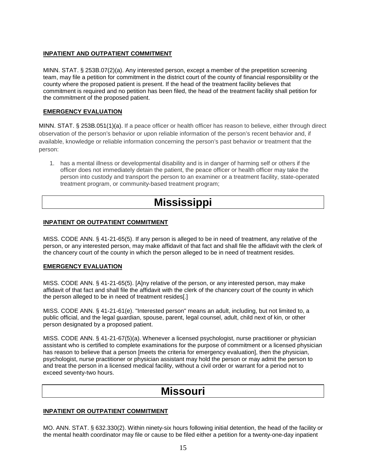# **INPATIENT AND OUTPATIENT COMMITMENT**

MINN. STAT. § 253B.07(2)(a). Any interested person, except a member of the prepetition screening team, may file a petition for commitment in the district court of the county of financial responsibility or the county where the proposed patient is present. If the head of the treatment facility believes that commitment is required and no petition has been filed, the head of the treatment facility shall petition for the commitment of the proposed patient.

# **EMERGENCY EVALUATION**

MINN. STAT. § 253B.051(1)(a). If a peace officer or health officer has reason to believe, either through direct observation of the person's behavior or upon reliable information of the person's recent behavior and, if available, knowledge or reliable information concerning the person's past behavior or treatment that the person:

1. has a mental illness or developmental disability and is in danger of harming self or others if the officer does not immediately detain the patient, the peace officer or health officer may take the person into custody and transport the person to an examiner or a treatment facility, state-operated treatment program, or community-based treatment program;

# **Mississippi**

# **INPATIENT OR OUTPATIENT COMMITMENT**

MISS. CODE ANN. § 41-21-65(5). If any person is alleged to be in need of treatment, any relative of the person, or any interested person, may make affidavit of that fact and shall file the affidavit with the clerk of the chancery court of the county in which the person alleged to be in need of treatment resides.

# **EMERGENCY EVALUATION**

MISS. CODE ANN. § 41-21-65(5). [A]ny relative of the person, or any interested person, may make affidavit of that fact and shall file the affidavit with the clerk of the chancery court of the county in which the person alleged to be in need of treatment resides[.]

MISS. CODE ANN. § 41-21-61(e). "Interested person" means an adult, including, but not limited to, a public official, and the legal guardian, spouse, parent, legal counsel, adult, child next of kin, or other person designated by a proposed patient.

MISS. CODE ANN. § 41-21-67(5)(a). Whenever a licensed psychologist, nurse practitioner or physician assistant who is certified to complete examinations for the purpose of commitment or a licensed physician has reason to believe that a person [meets the criteria for emergency evaluation], then the physician, psychologist, nurse practitioner or physician assistant may hold the person or may admit the person to and treat the person in a licensed medical facility, without a civil order or warrant for a period not to exceed seventy-two hours.

# **Missouri**

# **INPATIENT OR OUTPATIENT COMMITMENT**

MO. ANN. STAT. § 632.330(2). Within ninety-six hours following initial detention, the head of the facility or the mental health coordinator may file or cause to be filed either a petition for a twenty-one-day inpatient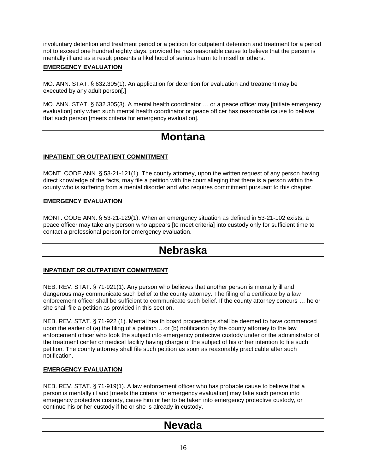involuntary detention and treatment period or a petition for outpatient detention and treatment for a period not to exceed one hundred eighty days, provided he has reasonable cause to believe that the person is mentally ill and as a result presents a likelihood of serious harm to himself or others.

# **EMERGENCY EVALUATION**

MO. ANN. STAT. § 632.305(1). An application for detention for evaluation and treatment may be executed by any adult person[.]

MO. ANN. STAT. § 632.305(3). A mental health coordinator … or a peace officer may [initiate emergency evaluation] only when such mental health coordinator or peace officer has reasonable cause to believe that such person [meets criteria for emergency evaluation].

# **Montana**

# **INPATIENT OR OUTPATIENT COMMITMENT**

MONT. CODE ANN. § 53-21-121(1). The county attorney, upon the written request of any person having direct knowledge of the facts, may file a petition with the court alleging that there is a person within the county who is suffering from a mental disorder and who requires commitment pursuant to this chapter.

### **EMERGENCY EVALUATION**

MONT. CODE ANN. § 53-21-129(1). When an emergency situation as defined in 53-21-102 exists, a peace officer may take any person who appears [to meet criteria] into custody only for sufficient time to contact a professional person for emergency evaluation.

# **Nebraska**

# **INPATIENT OR OUTPATIENT COMMITMENT**

NEB. REV. STAT. § 71-921(1). Any person who believes that another person is mentally ill and dangerous may communicate such belief to the county attorney. The filing of a certificate by a law enforcement officer shall be sufficient to communicate such belief. If the county attorney concurs … he or she shall file a petition as provided in this section.

NEB. REV. STAT. § 71-922 (1). Mental health board proceedings shall be deemed to have commenced upon the earlier of (a) the filing of a petition …or (b) notification by the county attorney to the law enforcement officer who took the subject into emergency protective custody under or the administrator of the treatment center or medical facility having charge of the subject of his or her intention to file such petition. The county attorney shall file such petition as soon as reasonably practicable after such notification.

# **EMERGENCY EVALUATION**

NEB. REV. STAT. § 71-919(1). A law enforcement officer who has probable cause to believe that a person is mentally ill and [meets the criteria for emergency evaluation] may take such person into emergency protective custody, cause him or her to be taken into emergency protective custody, or continue his or her custody if he or she is already in custody.

# **Nevada**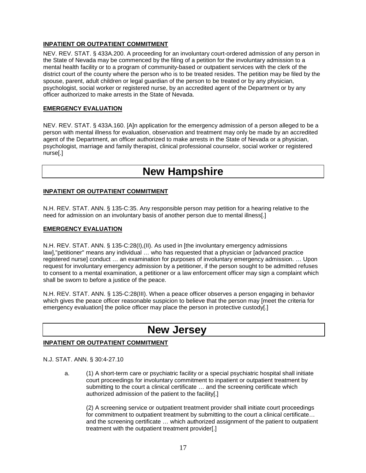# **INPATIENT OR OUTPATIENT COMMITMENT**

NEV. REV. STAT. § 433A.200. A proceeding for an involuntary court-ordered admission of any person in the State of Nevada may be commenced by the filing of a petition for the involuntary admission to a mental health facility or to a program of community-based or outpatient services with the clerk of the district court of the county where the person who is to be treated resides. The petition may be filed by the spouse, parent, adult children or legal guardian of the person to be treated or by any physician, psychologist, social worker or registered nurse, by an accredited agent of the Department or by any officer authorized to make arrests in the State of Nevada.

# **EMERGENCY EVALUATION**

NEV. REV. STAT. § 433A.160. [A]n application for the emergency admission of a person alleged to be a person with mental illness for evaluation, observation and treatment may only be made by an accredited agent of the Department, an officer authorized to make arrests in the State of Nevada or a physician, psychologist, marriage and family therapist, clinical professional counselor, social worker or registered nurse[.]

# **New Hampshire**

# **INPATIENT OR OUTPATIENT COMMITMENT**

N.H. REV. STAT. ANN. § 135-C:35. Any responsible person may petition for a hearing relative to the need for admission on an involuntary basis of another person due to mental illness[.]

### **EMERGENCY EVALUATION**

N.H. REV. STAT. ANN. § 135-C:28(I),(II). As used in [the involuntary emergency admissions law],"petitioner" means any individual … who has requested that a physician or [advanced practice registered nurse] conduct … an examination for purposes of involuntary emergency admission. … Upon request for involuntary emergency admission by a petitioner, if the person sought to be admitted refuses to consent to a mental examination, a petitioner or a law enforcement officer may sign a complaint which shall be sworn to before a justice of the peace.

N.H. REV. STAT. ANN. § 135-C:28(III). When a peace officer observes a person engaging in behavior which gives the peace officer reasonable suspicion to believe that the person may [meet the criteria for emergency evaluation] the police officer may place the person in protective custody[.]

# **New Jersey**

# **INPATIENT OR OUTPATIENT COMMITMENT**

### N.J. STAT. ANN. § 30:4-27.10

a. (1) A short-term care or psychiatric facility or a special psychiatric hospital shall initiate court proceedings for involuntary commitment to inpatient or outpatient treatment by submitting to the court a clinical certificate … and the screening certificate which authorized admission of the patient to the facility[.]

(2) A screening service or outpatient treatment provider shall initiate court proceedings for commitment to outpatient treatment by submitting to the court a clinical certificate... and the screening certificate … which authorized assignment of the patient to outpatient treatment with the outpatient treatment provider[.]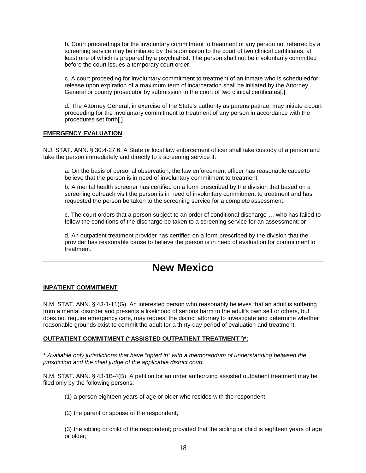b. Court proceedings for the involuntary commitment to treatment of any person not referred by a screening service may be initiated by the submission to the court of two clinical certificates, at least one of which is prepared by a psychiatrist. The person shall not be involuntarily committed before the court issues a temporary court order.

c. A court proceeding for involuntary commitment to treatment of an inmate who is scheduled for release upon expiration of a maximum term of incarceration shall be initiated by the Attorney General or county prosecutor by submission to the court of two clinical certificates[.]

d. The Attorney General, in exercise of the State's authority as parens patriae, may initiate acourt proceeding for the involuntary commitment to treatment of any person in accordance with the procedures set forth[.]

# **EMERGENCY EVALUATION**

N.J. STAT. ANN. § 30:4-27.6. A State or local law enforcement officer shall take custody of a person and take the person immediately and directly to a screening service if:

a. On the basis of personal observation, the law enforcement officer has reasonable cause to believe that the person is in need of involuntary commitment to treatment;

b. A mental health screener has certified on a form prescribed by the division that based on a screening outreach visit the person is in need of involuntary commitment to treatment and has requested the person be taken to the screening service for a complete assessment;

c. The court orders that a person subject to an order of conditional discharge … who has failed to follow the conditions of the discharge be taken to a screening service for an assessment; or

d. An outpatient treatment provider has certified on a form prescribed by the division that the provider has reasonable cause to believe the person is in need of evaluation for commitment to treatment.

# **New Mexico**

### **INPATIENT COMMITMENT**

N.M. STAT. ANN. § 43-1-11(G). An interested person who reasonably believes that an adult is suffering from a mental disorder and presents a likelihood of serious harm to the adult's own self or others, but does not require emergency care, may request the district attorney to investigate and determine whether reasonable grounds exist to commit the adult for a thirty-day period of evaluation and treatment.

### **OUTPATIENT COMMITMENT ("ASSISTED OUTPATIENT TREATMENT")\*:**

*\* Available only jurisdictions that have "opted in" with a memorandum of understanding between the jurisdiction and the chief judge of the applicable district court.*

N.M. STAT. ANN. § 43-1B-4(B). A petition for an order authorizing assisted outpatient treatment may be filed only by the following persons:

(1) a person eighteen years of age or older who resides with the respondent;

(2) the parent or spouse of the respondent;

(3) the sibling or child of the respondent; provided that the sibling or child is eighteen years of age or older;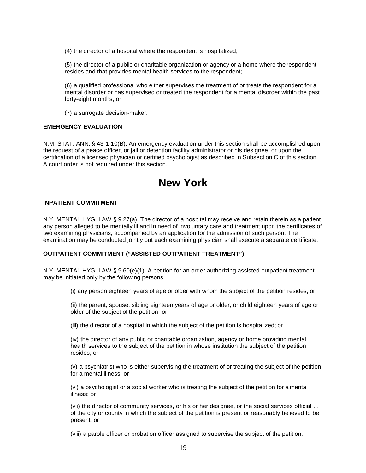(4) the director of a hospital where the respondent is hospitalized;

(5) the director of a public or charitable organization or agency or a home where the respondent resides and that provides mental health services to the respondent;

(6) a qualified professional who either supervises the treatment of or treats the respondent for a mental disorder or has supervised or treated the respondent for a mental disorder within the past forty-eight months; or

(7) a surrogate decision-maker.

### **EMERGENCY EVALUATION**

N.M. STAT. ANN. § 43-1-10(B). An emergency evaluation under this section shall be accomplished upon the request of a peace officer, or jail or detention facility administrator or his designee, or upon the certification of a licensed physician or certified psychologist as described in Subsection C of this section. A court order is not required under this section.

# **New York**

#### **INPATIENT COMMITMENT**

N.Y. MENTAL HYG. LAW § 9.27(a). The director of a hospital may receive and retain therein as a patient any person alleged to be mentally ill and in need of involuntary care and treatment upon the certificates of two examining physicians, accompanied by an application for the admission of such person. The examination may be conducted jointly but each examining physician shall execute a separate certificate.

### **OUTPATIENT COMMITMENT ("ASSISTED OUTPATIENT TREATMENT")**

N.Y. MENTAL HYG. LAW § 9.60(e)(1). A petition for an order authorizing assisted outpatient treatment … may be initiated only by the following persons:

(i) any person eighteen years of age or older with whom the subject of the petition resides; or

(ii) the parent, spouse, sibling eighteen years of age or older, or child eighteen years of age or older of the subject of the petition; or

(iii) the director of a hospital in which the subject of the petition is hospitalized; or

(iv) the director of any public or charitable organization, agency or home providing mental health services to the subject of the petition in whose institution the subject of the petition resides; or

(v) a psychiatrist who is either supervising the treatment of or treating the subject of the petition for a mental illness; or

(vi) a psychologist or a social worker who is treating the subject of the petition for a mental illness; or

(vii) the director of community services, or his or her designee, or the social services official … of the city or county in which the subject of the petition is present or reasonably believed to be present; or

(viii) a parole officer or probation officer assigned to supervise the subject of the petition.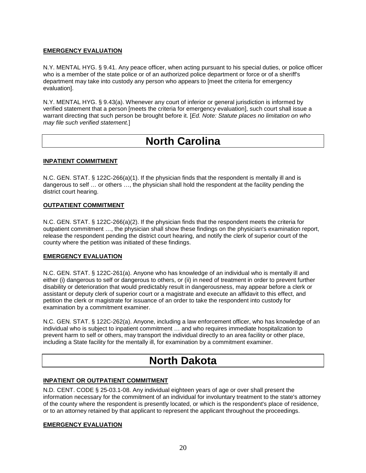# **EMERGENCY EVALUATION**

N.Y. MENTAL HYG. § 9.41. Any peace officer, when acting pursuant to his special duties, or police officer who is a member of the state police or of an authorized police department or force or of a sheriff's department may take into custody any person who appears to [meet the criteria for emergency evaluation].

N.Y. MENTAL HYG. § 9.43(a). Whenever any court of inferior or general jurisdiction is informed by verified statement that a person [meets the criteria for emergency evaluation], such court shall issue a warrant directing that such person be brought before it. [*Ed. Note: Statute places no limitation on who may file such verified statement.*]

# **North Carolina**

# **INPATIENT COMMITMENT**

N.C. GEN. STAT. § 122C-266(a)(1). If the physician finds that the respondent is mentally ill and is dangerous to self … or others …, the physician shall hold the respondent at the facility pending the district court hearing.

# **OUTPATIENT COMMITMENT**

N.C. GEN. STAT. § 122C-266(a)(2). If the physician finds that the respondent meets the criteria for outpatient commitment …, the physician shall show these findings on the physician's examination report, release the respondent pending the district court hearing, and notify the clerk of superior court of the county where the petition was initiated of these findings.

# **EMERGENCY EVALUATION**

N.C. GEN. STAT. § 122C-261(a). Anyone who has knowledge of an individual who is mentally ill and either (i) dangerous to self or dangerous to others, or (ii) in need of treatment in order to prevent further disability or deterioration that would predictably result in dangerousness, may appear before a clerk or assistant or deputy clerk of superior court or a magistrate and execute an affidavit to this effect, and petition the clerk or magistrate for issuance of an order to take the respondent into custody for examination by a commitment examiner.

N.C. GEN. STAT. § 122C-262(a). Anyone, including a law enforcement officer, who has knowledge of an individual who is subject to inpatient commitment … and who requires immediate hospitalization to prevent harm to self or others, may transport the individual directly to an area facility or other place, including a State facility for the mentally ill, for examination by a commitment examiner.

# **North Dakota**

# **INPATIENT OR OUTPATIENT COMMITMENT**

N.D. CENT. CODE § 25-03.1-08. Any individual eighteen years of age or over shall present the information necessary for the commitment of an individual for involuntary treatment to the state's attorney of the county where the respondent is presently located, or which is the respondent's place of residence, or to an attorney retained by that applicant to represent the applicant throughout the proceedings.

# **EMERGENCY EVALUATION**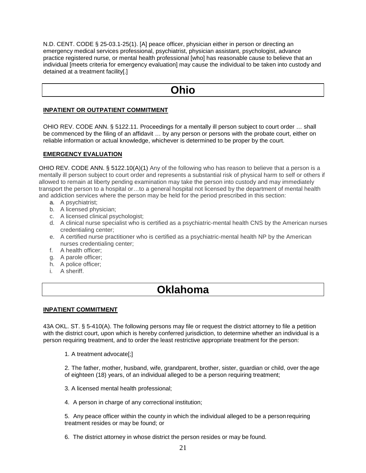N.D. CENT. CODE § 25-03.1-25(1). [A] peace officer, physician either in person or directing an emergency medical services professional, psychiatrist, physician assistant, psychologist, advance practice registered nurse, or mental health professional [who] has reasonable cause to believe that an individual [meets criteria for emergency evaluation] may cause the individual to be taken into custody and detained at a treatment facility[.]

# **Ohio**

## **INPATIENT OR OUTPATIENT COMMITMENT**

OHIO REV. CODE ANN. § 5122.11. Proceedings for a mentally ill person subject to court order … shall be commenced by the filing of an affidavit … by any person or persons with the probate court, either on reliable information or actual knowledge, whichever is determined to be proper by the court.

# **EMERGENCY EVALUATION**

OHIO REV. CODE ANN. § 5122.10(A)(1) Any of the following who has reason to believe that a person is a mentally ill person subject to court order and represents a substantial risk of physical harm to self or others if allowed to remain at liberty pending examination may take the person into custody and may immediately transport the person to a hospital or…to a general hospital not licensed by the department of mental health and addiction services where the person may be held for the period prescribed in this section:

- a. A psychiatrist;
- b. A licensed physician;
- c. A licensed clinical psychologist;
- d. A clinical nurse specialist who is certified as a psychiatric-mental health CNS by the American nurses credentialing center;
- e. A certified nurse practitioner who is certified as a psychiatric-mental health NP by the American nurses credentialing center;
- f. A health officer;
- g. A parole officer;
- h. A police officer;
- i. A sheriff.

# **Oklahoma**

#### **INPATIENT COMMITMENT**

43A OKL. ST. § 5-410(A). The following persons may file or request the district attorney to file a petition with the district court, upon which is hereby conferred jurisdiction, to determine whether an individual is a person requiring treatment, and to order the least restrictive appropriate treatment for the person:

1. A treatment advocate[;]

2. The father, mother, husband, wife, grandparent, brother, sister, guardian or child, over the age of eighteen (18) years, of an individual alleged to be a person requiring treatment;

- 3. A licensed mental health professional;
- 4. A person in charge of any correctional institution;

5. Any peace officer within the county in which the individual alleged to be a personrequiring treatment resides or may be found; or

6. The district attorney in whose district the person resides or may be found.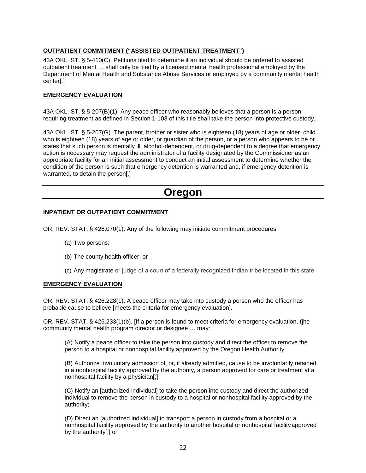# **OUTPATIENT COMMITMENT ("ASSISTED OUTPATIENT TREATMENT")**

43A OKL. ST. § 5-410(C). Petitions filed to determine if an individual should be ordered to assisted outpatient treatment … shall only be filed by a licensed mental health professional employed by the Department of Mental Health and Substance Abuse Services or employed by a community mental health center[.]

# **EMERGENCY EVALUATION**

43A OKL. ST. § 5-207(B)(1). Any peace officer who reasonably believes that a person is a person requiring treatment as defined in Section 1-103 of this title shall take the person into protective custody.

43A OKL. ST. § 5-207(G). The parent, brother or sister who is eighteen (18) years of age or older, child who is eighteen (18) years of age or older, or guardian of the person, or a person who appears to be or states that such person is mentally ill, alcohol-dependent, or drug-dependent to a degree that emergency action is necessary may request the administrator of a facility designated by the Commissioner as an appropriate facility for an initial assessment to conduct an initial assessment to determine whether the condition of the person is such that emergency detention is warranted and, if emergency detention is warranted, to detain the person[.]

# **Oregon**

### **INPATIENT OR OUTPATIENT COMMITMENT**

OR. REV. STAT. § 426.070(1). Any of the following may initiate commitment procedures:

- (a) Two persons;
- (b) The county health officer; or
- (c) Any magistrate or judge of a court of a federally recognized Indian tribe located in this state.

# **EMERGENCY EVALUATION**

OR. REV. STAT. § 426.228(1). A peace officer may take into custody a person who the officer has probable cause to believe [meets the criteria for emergency evaluation].

OR. REV. STAT. § 426.233(1)(b). [If a person is found to meet criteria for emergency evaluation, t]he community mental health program director or designee … may:

(A) Notify a peace officer to take the person into custody and direct the officer to remove the person to a hospital or nonhospital facility approved by the Oregon Health Authority;

(B) Authorize involuntary admission of, or, if already admitted, cause to be involuntarily retained in a nonhospital facility approved by the authority, a person approved for care or treatment at a nonhospital facility by a physician[;]

(C) Notify an [authorized individual] to take the person into custody and direct the authorized individual to remove the person in custody to a hospital or nonhospital facility approved by the authority;

(D) Direct an [authorized individual] to transport a person in custody from a hospital or a nonhospital facility approved by the authority to another hospital or nonhospital facility approved by the authority[;] or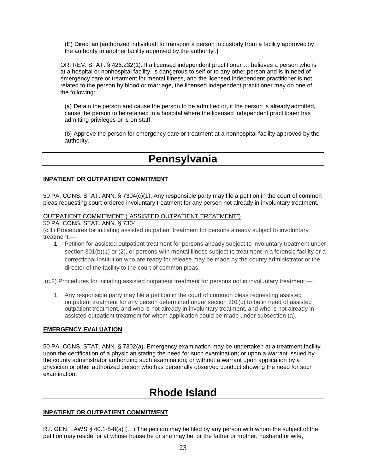(E) Direct an [authorized individual] to transport a person in custody from a facility approved by the authority to another facility approved by the authority[.]

OR. REV. STAT. § 426.232(1). If a licensed independent practitioner … believes a person who is at a hospital or nonhospital facility, is dangerous to self or to any other person and is in need of emergency care or treatment for mental illness, and the licensed independent practitioner is not related to the person by blood or marriage, the licensed independent practitioner may do one of the following:

(a) Detain the person and cause the person to be admitted or, if the person is already admitted, cause the person to be retained in a hospital where the licensed independent practitioner has admitting privileges or is on staff.

(b) Approve the person for emergency care or treatment at a nonhospital facility approved by the authority.

# **Pennsylvania**

### **INPATIENT OR OUTPATIENT COMMITMENT**

50 PA. CONS. STAT. ANN. § 7304(c)(1). Any responsible party may file a petition in the court of common pleas requesting court-ordered involuntary treatment for any person not already in involuntary treatment.

# OUTPATIENT COMMITMENT ("ASSISTED OUTPATIENT TREATMENT")

50 PA. CONS. STAT. ANN. § 7304

(c.1) Procedures for initiating assisted outpatient treatment for persons already subject to involuntary treatment.—

1. Petition for assisted outpatient treatment for persons already subject to involuntary treatment under section 301(b)(1) or (2), or persons with mental illness subject to treatment in a forensic facility or a correctional institution who are ready for release may be made by the county administrator or the director of the facility to the court of common pleas.

(c.2) Procedures for initiating assisted outpatient treatment for persons not in involuntary treatment.—

1. Any responsible party may file a petition in the court of common pleas requesting assisted outpatient treatment for any person determined under section 301(c) to be in need of assisted outpatient treatment, and who is not already in involuntary treatment, and who is not already in assisted outpatient treatment for whom application could be made under subsection (a).

# **EMERGENCY EVALUATION**

50 PA. CONS. STAT. ANN. § 7302(a). Emergency examination may be undertaken at a treatment facility upon the certification of a physician stating the need for such examination; or upon a warrant issued by the county administrator authorizing such examination; or without a warrant upon application by a physician or other authorized person who has personally observed conduct showing the need for such examination.

# **Rhode Island**

# **INPATIENT OR OUTPATIENT COMMITMENT**

R.I. GEN. LAWS § 40.1-5-8(a) (…) The petition may be filed by any person with whom the subject of the petition may reside, or at whose house he or she may be, or the father or mother, husband or wife,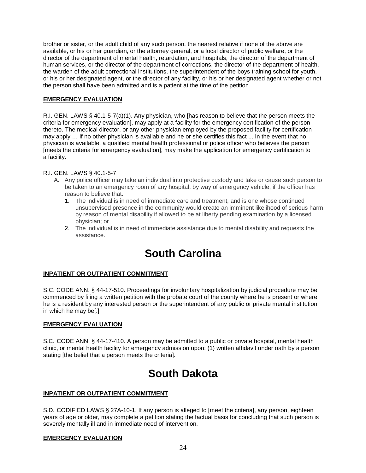brother or sister, or the adult child of any such person, the nearest relative if none of the above are available, or his or her guardian, or the attorney general, or a local director of public welfare, or the director of the department of mental health, retardation, and hospitals, the director of the department of human services, or the director of the department of corrections, the director of the department of health, the warden of the adult correctional institutions, the superintendent of the boys training school for youth, or his or her designated agent, or the director of any facility, or his or her designated agent whether or not the person shall have been admitted and is a patient at the time of the petition.

### **EMERGENCY EVALUATION**

R.I. GEN. LAWS § 40.1-5-7(a)(1). Any physician, who [has reason to believe that the person meets the criteria for emergency evaluation], may apply at a facility for the emergency certification of the person thereto. The medical director, or any other physician employed by the proposed facility for certification may apply … if no other physician is available and he or she certifies this fact ... In the event that no physician is available, a qualified mental health professional or police officer who believes the person [meets the criteria for emergency evaluation], may make the application for emergency certification to a facility.

### R.I. GEN. LAWS § 40.1-5-7

- A. Any police officer may take an individual into protective custody and take or cause such person to be taken to an emergency room of any hospital, by way of emergency vehicle, if the officer has reason to believe that:
	- 1. The individual is in need of immediate care and treatment, and is one whose continued unsupervised presence in the community would create an imminent likelihood of serious harm by reason of mental disability if allowed to be at liberty pending examination by a licensed physician; or
	- 2. The individual is in need of immediate assistance due to mental disability and requests the assistance.

# **South Carolina**

### **INPATIENT OR OUTPATIENT COMMITMENT**

S.C. CODE ANN. § 44-17-510. Proceedings for involuntary hospitalization by judicial procedure may be commenced by filing a written petition with the probate court of the county where he is present or where he is a resident by any interested person or the superintendent of any public or private mental institution in which he may be[.]

### **EMERGENCY EVALUATION**

S.C. CODE ANN. § 44-17-410. A person may be admitted to a public or private hospital, mental health clinic, or mental health facility for emergency admission upon: (1) written affidavit under oath by a person stating [the belief that a person meets the criteria].

# **South Dakota**

### **INPATIENT OR OUTPATIENT COMMITMENT**

S.D. CODIFIED LAWS § 27A-10-1. If any person is alleged to [meet the criteria], any person, eighteen years of age or older, may complete a petition stating the factual basis for concluding that such person is severely mentally ill and in immediate need of intervention.

### **EMERGENCY EVALUATION**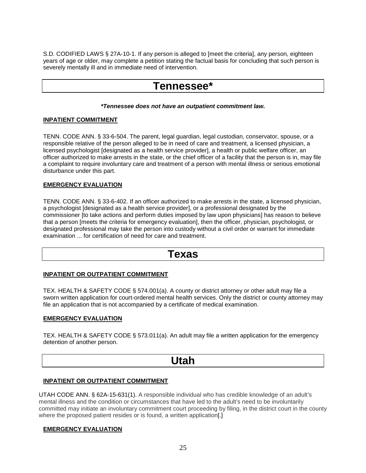S.D. CODIFIED LAWS § 27A-10-1. If any person is alleged to [meet the criteria], any person, eighteen years of age or older, may complete a petition stating the factual basis for concluding that such person is severely mentally ill and in immediate need of intervention.

# **Tennessee\***

### *\*Tennessee does not have an outpatient commitment law.*

### **INPATIENT COMMITMENT**

TENN. CODE ANN. § 33-6-504. The parent, legal guardian, legal custodian, conservator, spouse, or a responsible relative of the person alleged to be in need of care and treatment, a licensed physician, a licensed psychologist [designated as a health service provider], a health or public welfare officer, an officer authorized to make arrests in the state, or the chief officer of a facility that the person is in, may file a complaint to require involuntary care and treatment of a person with mental illness or serious emotional disturbance under this part.

# **EMERGENCY EVALUATION**

TENN. CODE ANN. § 33-6-402. If an officer authorized to make arrests in the state, a licensed physician, a psychologist [designated as a health service provider], or a professional designated by the commissioner [to take actions and perform duties imposed by law upon physicians] has reason to believe that a person [meets the criteria for emergency evaluation], then the officer, physician, psychologist, or designated professional may take the person into custody without a civil order or warrant for immediate examination ... for certification of need for care and treatment.

# **Texas**

### **INPATIENT OR OUTPATIENT COMMITMENT**

TEX. HEALTH & SAFETY CODE § 574.001(a). A county or district attorney or other adult may file a sworn written application for court-ordered mental health services. Only the district or county attorney may file an application that is not accompanied by a certificate of medical examination.

### **EMERGENCY EVALUATION**

TEX. HEALTH & SAFETY CODE § 573.011(a). An adult may file a written application for the emergency detention of another person.

# **Utah**

### **INPATIENT OR OUTPATIENT COMMITMENT**

UTAH CODE ANN. § 62A-15-631(1). A responsible individual who has credible knowledge of an adult's mental illness and the condition or circumstances that have led to the adult's need to be involuntarily committed may initiate an involuntary commitment court proceeding by filing, in the district court in the county where the proposed patient resides or is found, a written application.

### **EMERGENCY EVALUATION**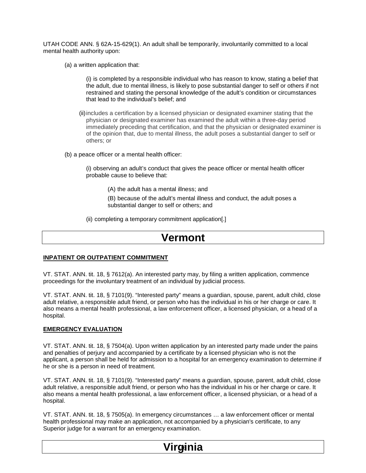UTAH CODE ANN. § 62A-15-629(1). An adult shall be temporarily, involuntarily committed to a local mental health authority upon:

(a) a written application that:

(i) is completed by a responsible individual who has reason to know, stating a belief that the adult, due to mental illness, is likely to pose substantial danger to self or others if not restrained and stating the personal knowledge of the adult's condition or circumstances that lead to the individual's belief; and

(ii)includes a certification by a licensed physician or designated examiner stating that the physician or designated examiner has examined the adult within a three-day period immediately preceding that certification, and that the physician or designated examiner is of the opinion that, due to mental illness, the adult poses a substantial danger to self or others; or

(b) a peace officer or a mental health officer:

(i) observing an adult's conduct that gives the peace officer or mental health officer probable cause to believe that:

(A) the adult has a mental illness; and

(B) because of the adult's mental illness and conduct, the adult poses a substantial danger to self or others; and

(ii) completing a temporary commitment application[.]

# **Vermont**

### **INPATIENT OR OUTPATIENT COMMITMENT**

VT. STAT. ANN. tit. 18, § 7612(a). An interested party may, by filing a written application, commence proceedings for the involuntary treatment of an individual by judicial process.

VT. STAT. ANN. tit. 18, § 7101(9). "Interested party" means a guardian, spouse, parent, adult child, close adult relative, a responsible adult friend, or person who has the individual in his or her charge or care. It also means a mental health professional, a law enforcement officer, a licensed physician, or a head of a hospital.

### **EMERGENCY EVALUATION**

VT. STAT. ANN. tit. 18, § 7504(a). Upon written application by an interested party made under the pains and penalties of perjury and accompanied by a certificate by a licensed physician who is not the applicant, a person shall be held for admission to a hospital for an emergency examination to determine if he or she is a person in need of treatment.

VT. STAT. ANN. tit. 18, § 7101(9). "Interested party" means a guardian, spouse, parent, adult child, close adult relative, a responsible adult friend, or person who has the individual in his or her charge or care. It also means a mental health professional, a law enforcement officer, a licensed physician, or a head of a hospital.

VT. STAT. ANN. tit. 18, § 7505(a). In emergency circumstances … a law enforcement officer or mental health professional may make an application, not accompanied by a physician's certificate, to any Superior judge for a warrant for an emergency examination.

# <u>Virginia</u>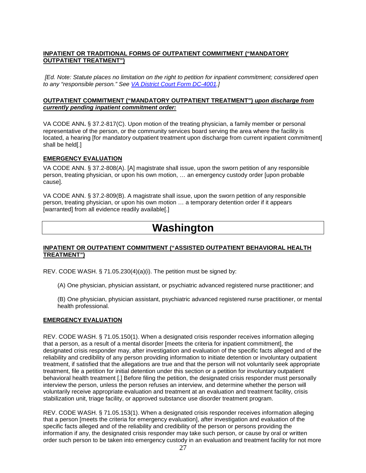# **INPATIENT OR TRADITIONAL FORMS OF OUTPATIENT COMMITMENT ("MANDATORY OUTPATIENT TREATMENT")**

*[Ed. Note: Statute places no limitation on the right to petition for inpatient commitment; considered open to any "responsible person." See VA District Court Form DC-4001.]*

### **OUTPATIENT COMMITMENT ("MANDATORY OUTPATIENT TREATMENT")** *upon discharge from currently pending inpatient commitment order:*

VA CODE ANN**.** § 37.2-817(C). Upon motion of the treating physician, a family member or personal representative of the person, or the community services board serving the area where the facility is located, a hearing [for mandatory outpatient treatment upon discharge from current inpatient commitment] shall be held[.]

# **EMERGENCY EVALUATION**

VA CODE ANN. § 37.2-808(A). [A] magistrate shall issue, upon the sworn petition of any responsible person, treating physician, or upon his own motion, … an emergency custody order [upon probable cause].

VA CODE ANN. § 37.2-809(B). A magistrate shall issue, upon the sworn petition of any responsible person, treating physician, or upon his own motion … a temporary detention order if it appears [warranted] from all evidence readily available[.]

# **Washington**

# **INPATIENT OR OUTPATIENT COMMITMENT ("ASSISTED OUTPATIENT BEHAVIORAL HEALTH TREATMENT")**

REV. CODE WASH. § 71.05.230(4)(a)(i). The petition must be signed by:

(A) One physician, physician assistant, or psychiatric advanced registered nurse practitioner; and

(B) One physician, physician assistant, psychiatric advanced registered nurse practitioner, or mental health professional.

# **EMERGENCY EVALUATION**

REV. CODE WASH. § 71.05.150(1). When a designated crisis responder receives information alleging that a person, as a result of a mental disorder [meets the criteria for inpatient commitment], the designated crisis responder may, after investigation and evaluation of the specific facts alleged and of the reliability and credibility of any person providing information to initiate detention or involuntary outpatient treatment, if satisfied that the allegations are true and that the person will not voluntarily seek appropriate treatment, file a petition for initial detention under this section or a petition for involuntary outpatient behavioral health treatment [.] Before filing the petition, the designated crisis responder must personally interview the person, unless the person refuses an interview, and determine whether the person will voluntarily receive appropriate evaluation and treatment at an evaluation and treatment facility, crisis stabilization unit, triage facility, or approved substance use disorder treatment program.

REV. CODE WASH. § 71.05.153(1). When a designated crisis responder receives information alleging that a person [meets the criteria for emergency evaluation], after investigation and evaluation of the specific facts alleged and of the reliability and credibility of the person or persons providing the information if any, the designated crisis responder may take such person, or cause by oral or written order such person to be taken into emergency custody in an evaluation and treatment facility for not more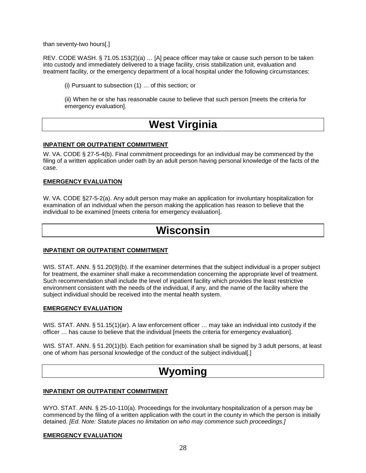than seventy-two hours[.]

REV. CODE WASH. § 71.05.153(2)(a) … [A] peace officer may take or cause such person to be taken into custody and immediately delivered to a triage facility, crisis stabilization unit, evaluation and treatment facility, or the emergency department of a local hospital under the following circumstances:

(i) Pursuant to subsection (1) … of this section; or

(ii) When he or she has reasonable cause to believe that such person [meets the criteria for emergency evaluation].

# **West Virginia**

### **INPATIENT OR OUTPATIENT COMMITMENT**

W. VA. CODE § 27-5-4(b). Final commitment proceedings for an individual may be commenced by the filing of a written application under oath by an adult person having personal knowledge of the facts of the case.

### **EMERGENCY EVALUATION**

W. VA. CODE §27-5-2(a). Any adult person may make an application for involuntary hospitalization for examination of an individual when the person making the application has reason to believe that the individual to be examined [meets criteria for emergency evaluation].

# **Wisconsin**

### **INPATIENT OR OUTPATIENT COMMITMENT**

WIS. STAT. ANN. § 51.20(9)(b). If the examiner determines that the subject individual is a proper subject for treatment, the examiner shall make a recommendation concerning the appropriate level of treatment. Such recommendation shall include the level of inpatient facility which provides the least restrictive environment consistent with the needs of the individual, if any, and the name of the facility where the subject individual should be received into the mental health system.

### **EMERGENCY EVALUATION**

WIS. STAT. ANN. § 51.15(1)(ar). A law enforcement officer ... may take an individual into custody if the officer … has cause to believe that the individual [meets the criteria for emergency evaluation].

WIS. STAT. ANN. § 51.20(1)(b). Each petition for examination shall be signed by 3 adult persons, at least one of whom has personal knowledge of the conduct of the subject individual[.]

# **Wyoming**

### **INPATIENT OR OUTPATIENT COMMITMENT**

WYO. STAT. ANN. § 25-10-110(a). Proceedings for the involuntary hospitalization of a person may be commenced by the filing of a written application with the court in the county in which the person is initially detained. *[Ed. Note: Statute places no limitation on who may commence such proceedings.]*

### **EMERGENCY EVALUATION**